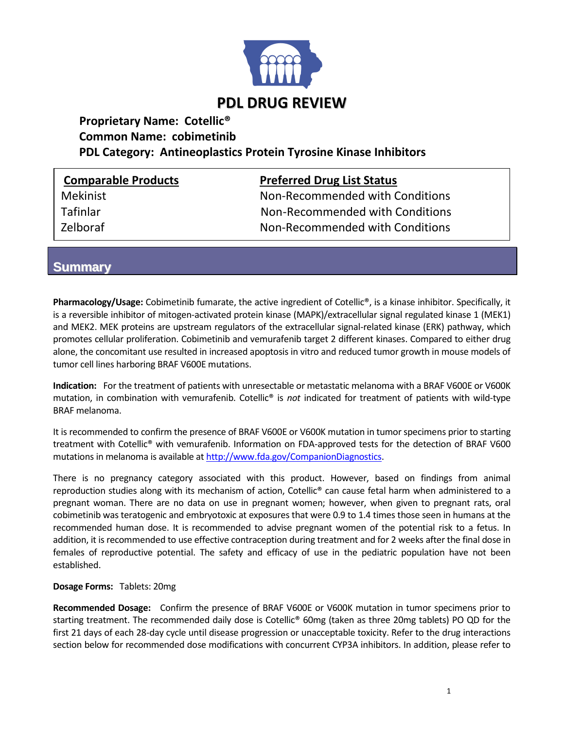

# **Proprietary Name: Cotellic® Common Name: cobimetinib PDL Category: Antineoplastics Protein Tyrosine Kinase Inhibitors**

| <b>Comparable Products</b> | <b>Preferred Drug List Status</b> |  |
|----------------------------|-----------------------------------|--|
| <b>Mekinist</b>            | Non-Recommended with Conditions   |  |
| <b>Tafinlar</b>            | Non-Recommended with Conditions   |  |
| Zelboraf                   | Non-Recommended with Conditions   |  |

## **Summary**

**Pharmacology/Usage:** Cobimetinib fumarate, the active ingredient of Cotellic®, is a kinase inhibitor. Specifically, it is a reversible inhibitor of mitogen-activated protein kinase (MAPK)/extracellular signal regulated kinase 1 (MEK1) and MEK2. MEK proteins are upstream regulators of the extracellular signal-related kinase (ERK) pathway, which promotes cellular proliferation. Cobimetinib and vemurafenib target 2 different kinases. Compared to either drug alone, the concomitant use resulted in increased apoptosis in vitro and reduced tumor growth in mouse models of tumor cell lines harboring BRAF V600E mutations.

**Indication:** For the treatment of patients with unresectable or metastatic melanoma with a BRAF V600E or V600K mutation, in combination with vemurafenib. Cotellic® is *not* indicated for treatment of patients with wild-type BRAF melanoma.

It is recommended to confirm the presence of BRAF V600E or V600K mutation in tumor specimens prior to starting treatment with Cotellic® with vemurafenib. Information on FDA-approved tests for the detection of BRAF V600 mutations in melanoma is available at [http://www.fda.gov/CompanionDiagnostics.](http://www.fda.gov/CompanionDiagnostics)

There is no pregnancy category associated with this product. However, based on findings from animal reproduction studies along with its mechanism of action, Cotellic® can cause fetal harm when administered to a pregnant woman. There are no data on use in pregnant women; however, when given to pregnant rats, oral cobimetinib was teratogenic and embryotoxic at exposures that were 0.9 to 1.4 times those seen in humans at the recommended human dose. It is recommended to advise pregnant women of the potential risk to a fetus. In addition, it is recommended to use effective contraception during treatment and for 2 weeks after the final dose in females of reproductive potential. The safety and efficacy of use in the pediatric population have not been established.

### **Dosage Forms:** Tablets: 20mg

**Recommended Dosage:** Confirm the presence of BRAF V600E or V600K mutation in tumor specimens prior to starting treatment. The recommended daily dose is Cotellic® 60mg (taken as three 20mg tablets) PO QD for the first 21 days of each 28-day cycle until disease progression or unacceptable toxicity. Refer to the drug interactions section below for recommended dose modifications with concurrent CYP3A inhibitors. In addition, please refer to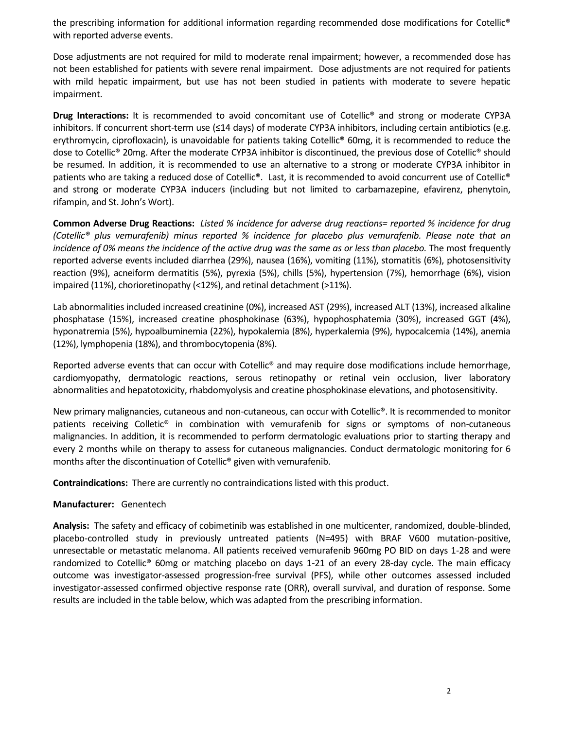the prescribing information for additional information regarding recommended dose modifications for Cotellic® with reported adverse events.

Dose adjustments are not required for mild to moderate renal impairment; however, a recommended dose has not been established for patients with severe renal impairment. Dose adjustments are not required for patients with mild hepatic impairment, but use has not been studied in patients with moderate to severe hepatic impairment.

**Drug Interactions:** It is recommended to avoid concomitant use of Cotellic® and strong or moderate CYP3A inhibitors. If concurrent short-term use (≤14 days) of moderate CYP3A inhibitors, including certain antibiotics (e.g. erythromycin, ciprofloxacin), is unavoidable for patients taking Cotellic® 60mg, it is recommended to reduce the dose to Cotellic® 20mg. After the moderate CYP3A inhibitor is discontinued, the previous dose of Cotellic® should be resumed. In addition, it is recommended to use an alternative to a strong or moderate CYP3A inhibitor in patients who are taking a reduced dose of Cotellic®. Last, it is recommended to avoid concurrent use of Cotellic® and strong or moderate CYP3A inducers (including but not limited to carbamazepine, efavirenz, phenytoin, rifampin, and St. John's Wort).

**Common Adverse Drug Reactions:** *Listed % incidence for adverse drug reactions= reported % incidence for drug (Cotellic® plus vemurafenib) minus reported % incidence for placebo plus vemurafenib. Please note that an incidence of 0% means the incidence of the active drug was the same as or less than placebo.* The most frequently reported adverse events included diarrhea (29%), nausea (16%), vomiting (11%), stomatitis (6%), photosensitivity reaction (9%), acneiform dermatitis (5%), pyrexia (5%), chills (5%), hypertension (7%), hemorrhage (6%), vision impaired (11%), chorioretinopathy (<12%), and retinal detachment (>11%).

Lab abnormalities included increased creatinine (0%), increased AST (29%), increased ALT (13%), increased alkaline phosphatase (15%), increased creatine phosphokinase (63%), hypophosphatemia (30%), increased GGT (4%), hyponatremia (5%), hypoalbuminemia (22%), hypokalemia (8%), hyperkalemia (9%), hypocalcemia (14%), anemia (12%), lymphopenia (18%), and thrombocytopenia (8%).

Reported adverse events that can occur with Cotellic® and may require dose modifications include hemorrhage, cardiomyopathy, dermatologic reactions, serous retinopathy or retinal vein occlusion, liver laboratory abnormalities and hepatotoxicity, rhabdomyolysis and creatine phosphokinase elevations, and photosensitivity.

New primary malignancies, cutaneous and non-cutaneous, can occur with Cotellic®. It is recommended to monitor patients receiving Colletic® in combination with vemurafenib for signs or symptoms of non-cutaneous malignancies. In addition, it is recommended to perform dermatologic evaluations prior to starting therapy and every 2 months while on therapy to assess for cutaneous malignancies. Conduct dermatologic monitoring for 6 months after the discontinuation of Cotellic® given with vemurafenib.

**Contraindications:** There are currently no contraindications listed with this product.

#### **Manufacturer:** Genentech

**Analysis:** The safety and efficacy of cobimetinib was established in one multicenter, randomized, double-blinded, placebo-controlled study in previously untreated patients (N=495) with BRAF V600 mutation-positive, unresectable or metastatic melanoma. All patients received vemurafenib 960mg PO BID on days 1-28 and were randomized to Cotellic® 60mg or matching placebo on days 1-21 of an every 28-day cycle. The main efficacy outcome was investigator-assessed progression-free survival (PFS), while other outcomes assessed included investigator-assessed confirmed objective response rate (ORR), overall survival, and duration of response. Some results are included in the table below, which was adapted from the prescribing information.